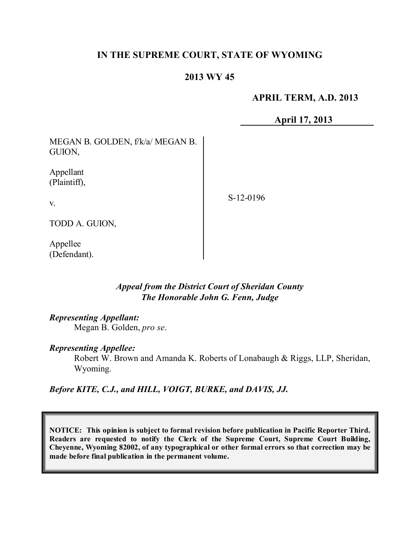# **IN THE SUPREME COURT, STATE OF WYOMING**

# **2013 WY 45**

## **APRIL TERM, A.D. 2013**

**April 17, 2013**

MEGAN B. GOLDEN, f/k/a/ MEGAN B. GUION,

Appellant (Plaintiff),

S-12-0196

v.

TODD A. GUION,

Appellee (Defendant).

## *Appeal from the District Court of Sheridan County The Honorable John G. Fenn, Judge*

## *Representing Appellant:*

Megan B. Golden, *pro se*.

#### *Representing Appellee:*

Robert W. Brown and Amanda K. Roberts of Lonabaugh & Riggs, LLP, Sheridan, Wyoming.

*Before KITE, C.J., and HILL, VOIGT, BURKE, and DAVIS, JJ.*

**NOTICE: This opinion is subject to formal revision before publication in Pacific Reporter Third. Readers are requested to notify the Clerk of the Supreme Court, Supreme Court Building, Cheyenne, Wyoming 82002, of any typographical or other formal errors so that correction may be made before final publication in the permanent volume.**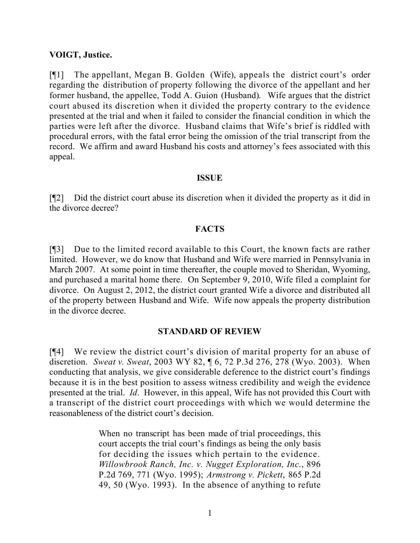### **VOIGT, Justice.**

[¶1] The appellant, Megan B. Golden (Wife), appeals the district court's order regarding the distribution of property following the divorce of the appellant and her former husband, the appellee, Todd A. Guion (Husband). Wife argues that the district court abused its discretion when it divided the property contrary to the evidence presented at the trial and when it failed to consider the financial condition in which the parties were left after the divorce. Husband claims that Wife's brief is riddled with procedural errors, with the fatal error being the omission of the trial transcript from the record. We affirm and award Husband his costs and attorney's fees associated with this appeal.

#### **ISSUE**

[¶2] Did the district court abuse its discretion when it divided the property as it did in the divorce decree?

### **FACTS**

[¶3] Due to the limited record available to this Court, the known facts are rather limited. However, we do know that Husband and Wife were married in Pennsylvania in March 2007. At some point in time thereafter, the couple moved to Sheridan, Wyoming, and purchased a marital home there. On September 9, 2010, Wife filed a complaint for divorce. On August 2, 2012, the district court granted Wife a divorce and distributed all of the property between Husband and Wife. Wife now appeals the property distribution in the divorce decree.

#### **STANDARD OF REVIEW**

[¶4] We review the district court's division of marital property for an abuse of discretion. *Sweat v. Sweat*, 2003 WY 82, ¶ 6, 72 P.3d 276, 278 (Wyo. 2003). When conducting that analysis, we give considerable deference to the district court's findings because it is in the best position to assess witness credibility and weigh the evidence presented at the trial. *Id*. However, in this appeal, Wife has not provided this Court with a transcript of the district court proceedings with which we would determine the reasonableness of the district court's decision.

> When no transcript has been made of trial proceedings, this court accepts the trial court's findings as being the only basis for deciding the issues which pertain to the evidence. *Willowbrook Ranch, Inc. v. Nugget Exploration, Inc*., 896 P.2d 769, 771 (Wyo. 1995); *Armstrong v. Pickett*, 865 P.2d 49, 50 (Wyo. 1993). In the absence of anything to refute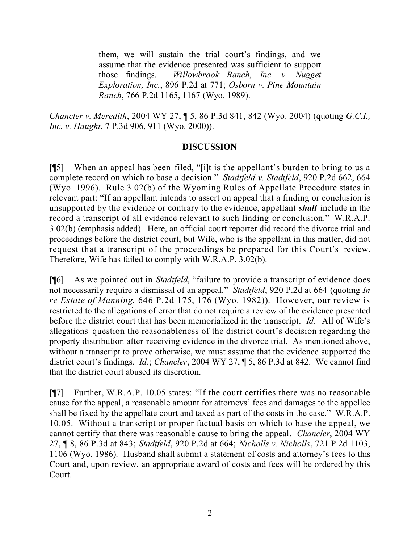them, we will sustain the trial court's findings, and we assume that the evidence presented was sufficient to support those findings. *Willowbrook Ranch, Inc. v. Nugget Exploration, Inc.*, 896 P.2d at 771; *Osborn v. Pine Mountain Ranch*, 766 P.2d 1165, 1167 (Wyo. 1989).

*Chancler v. Meredith*, 2004 WY 27, ¶ 5, 86 P.3d 841, 842 (Wyo. 2004) (quoting *G.C.I., Inc. v. Haught*, 7 P.3d 906, 911 (Wyo. 2000)).

## **DISCUSSION**

[¶5] When an appeal has been filed, "[i]t is the appellant's burden to bring to us a complete record on which to base a decision." *Stadtfeld v. Stadtfeld*, 920 P.2d 662, 664 (Wyo. 1996). Rule 3.02(b) of the Wyoming Rules of Appellate Procedure states in relevant part: "If an appellant intends to assert on appeal that a finding or conclusion is unsupported by the evidence or contrary to the evidence, appellant *shall* include in the record a transcript of all evidence relevant to such finding or conclusion." W.R.A.P. 3.02(b) (emphasis added). Here, an official court reporter did record the divorce trial and proceedings before the district court, but Wife, who is the appellant in this matter, did not request that a transcript of the proceedings be prepared for this Court's review. Therefore, Wife has failed to comply with W.R.A.P. 3.02(b).

[¶6] As we pointed out in *Stadtfeld*, "failure to provide a transcript of evidence does not necessarily require a dismissal of an appeal." *Stadtfeld*, 920 P.2d at 664 (quoting *In re Estate of Manning*, 646 P.2d 175, 176 (Wyo. 1982)). However, our review is restricted to the allegations of error that do not require a review of the evidence presented before the district court that has been memorialized in the transcript. *Id*. All of Wife's allegations question the reasonableness of the district court's decision regarding the property distribution after receiving evidence in the divorce trial. As mentioned above, without a transcript to prove otherwise, we must assume that the evidence supported the district court's findings. *Id*.; *Chancler*, 2004 WY 27, ¶ 5, 86 P.3d at 842. We cannot find that the district court abused its discretion.

[¶7] Further, W.R.A.P. 10.05 states: "If the court certifies there was no reasonable cause for the appeal, a reasonable amount for attorneys' fees and damages to the appellee shall be fixed by the appellate court and taxed as part of the costs in the case." W.R.A.P. 10.05. Without a transcript or proper factual basis on which to base the appeal, we cannot certify that there was reasonable cause to bring the appeal. *Chancler*, 2004 WY 27, ¶ 8, 86 P.3d at 843; *Stadtfeld*, 920 P.2d at 664; *Nicholls v. Nicholls*, 721 P.2d 1103, 1106 (Wyo. 1986). Husband shall submit a statement of costs and attorney's fees to this Court and, upon review, an appropriate award of costs and fees will be ordered by this Court.